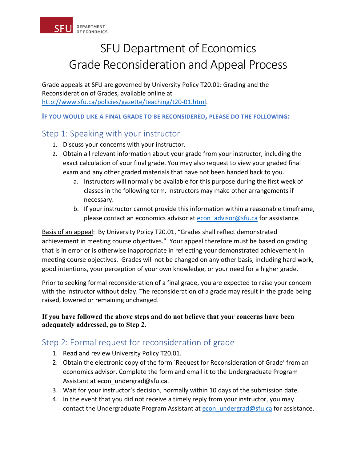

# SFU Department of Economics Grade Reconsideration and Appeal Process

Grade appeals at SFU are governed by University Policy T20.01: Grading and the Reconsideration of Grades, available online at [http://www.sfu.ca/policies/gazette/teaching/t20-01.html.](http://www.sfu.ca/policies/gazette/teaching/t20-01.html)

**IF YOU WOULD LIKE A FINAL GRADE TO BE RECONSIDERED, PLEASE DO THE FOLLOWING:**

### Step 1: Speaking with your instructor

- 1. Discuss your concerns with your instructor.
- 2. Obtain all relevant information about your grade from your instructor, including the exact calculation of your final grade. You may also request to view your graded final exam and any other graded materials that have not been handed back to you.
	- a. Instructors will normally be available for this purpose during the first week of classes in the following term. Instructors may make other arrangements if necessary.
	- b. If your instructor cannot provide this information within a reasonable timeframe, please contact an economics advisor at econ advisor@sfu.ca for assistance.

Basis of an appeal: By University Policy T20.01, "Grades shall reflect demonstrated achievement in meeting course objectives." Your appeal therefore must be based on grading that is in error or is otherwise inappropriate in reflecting your demonstrated achievement in meeting course objectives. Grades will not be changed on any other basis, including hard work, good intentions, your perception of your own knowledge, or your need for a higher grade.

Prior to seeking formal reconsideration of a final grade, you are expected to raise your concern with the instructor without delay. The reconsideration of a grade may result in the grade being raised, lowered or remaining unchanged.

#### **If you have followed the above steps and do not believe that your concerns have been adequately addressed, go to Step 2.**

## Step 2: Formal request for reconsideration of grade

- 1. Read and review University Policy T20.01.
- 2. Obtain the electronic copy of the form `Request for Reconsideration of Grade' from an economics advisor. Complete the form and email it to the Undergraduate Program Assistant at econ undergrad@sfu.ca.
- 3. Wait for your instructor's decision, normally within 10 days of the submission date.
- 4. In the event that you did not receive a timely reply from your instructor, you may contact the Undergraduate Program Assistant at econ undergrad@sfu.ca for assistance.